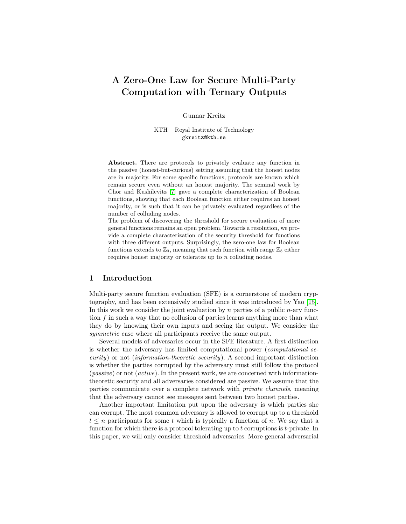# A Zero-One Law for Secure Multi-Party Computation with Ternary Outputs

Gunnar Kreitz

KTH – Royal Institute of Technology gkreitz@kth.se

Abstract. There are protocols to privately evaluate any function in the passive (honest-but-curious) setting assuming that the honest nodes are in majority. For some specific functions, protocols are known which remain secure even without an honest majority. The seminal work by Chor and Kushilevitz [\[7\]](#page-13-0) gave a complete characterization of Boolean functions, showing that each Boolean function either requires an honest majority, or is such that it can be privately evaluated regardless of the number of colluding nodes.

The problem of discovering the threshold for secure evaluation of more general functions remains an open problem. Towards a resolution, we provide a complete characterization of the security threshold for functions with three different outputs. Surprisingly, the zero-one law for Boolean functions extends to  $\mathbb{Z}_3$ , meaning that each function with range  $\mathbb{Z}_3$  either requires honest majority or tolerates up to n colluding nodes.

# 1 Introduction

Multi-party secure function evaluation (SFE) is a cornerstone of modern cryptography, and has been extensively studied since it was introduced by Yao [\[15\]](#page-13-1). In this work we consider the joint evaluation by n parties of a public  $n$ -ary function f in such a way that no collusion of parties learns anything more than what they do by knowing their own inputs and seeing the output. We consider the symmetric case where all participants receive the same output.

Several models of adversaries occur in the SFE literature. A first distinction is whether the adversary has limited computational power (computational security) or not (information-theoretic security). A second important distinction is whether the parties corrupted by the adversary must still follow the protocol (passive) or not (active). In the present work, we are concerned with informationtheoretic security and all adversaries considered are passive. We assume that the parties communicate over a complete network with private channels, meaning that the adversary cannot see messages sent between two honest parties.

Another important limitation put upon the adversary is which parties she can corrupt. The most common adversary is allowed to corrupt up to a threshold  $t \leq n$  participants for some t which is typically a function of n. We say that a function for which there is a protocol tolerating up to  $t$  corruptions is  $t$ -private. In this paper, we will only consider threshold adversaries. More general adversarial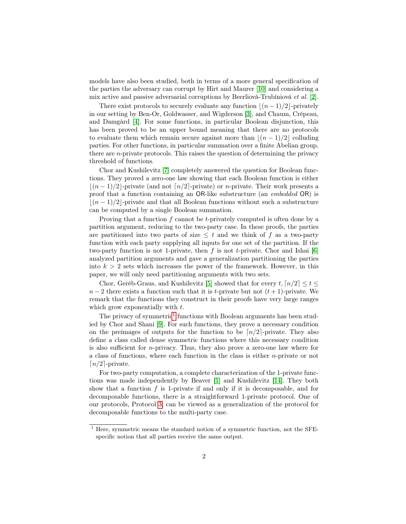models have also been studied, both in terms of a more general specification of the parties the adversary can corrupt by Hirt and Maurer [\[10\]](#page-13-2) and considering a mix active and passive adversarial corruptions by Beerliová-Trubíniová et al. [\[2\]](#page-13-3).

There exist protocols to securely evaluate any function  $|(n - 1)/2|$ -privately in our setting by Ben-Or, Goldwasser, and Wigderson [\[3\]](#page-13-4), and Chaum, Crépeau, and Damgård [\[4\]](#page-13-5). For some functions, in particular Boolean disjunction, this has been proved to be an upper bound meaning that there are no protocols to evaluate them which remain secure against more than  $|(n - 1)/2|$  colluding parties. For other functions, in particular summation over a finite Abelian group, there are n-private protocols. This raises the question of determining the privacy threshold of functions.

Chor and Kushilevitz [\[7\]](#page-13-0) completely answered the question for Boolean functions. They proved a zero-one law showing that each Boolean function is either  $(n-1)/2$ -private (and not  $\lceil n/2 \rceil$ -private) or n-private. Their work presents a proof that a function containing an OR-like substructure (an embedded OR) is  $(n - 1)/2$ -private and that all Boolean functions without such a substructure can be computed by a single Boolean summation.

Proving that a function  $f$  cannot be t-privately computed is often done by a partition argument, reducing to the two-party case. In these proofs, the parties are partitioned into two parts of size  $\leq t$  and we think of f as a two-party function with each party supplying all inputs for one set of the partition. If the two-party function is not 1-private, then  $f$  is not t-private. Chor and Ishai [\[6\]](#page-13-6) analyzed partition arguments and gave a generalization partitioning the parties into  $k > 2$  sets which increases the power of the framework. However, in this paper, we will only need partitioning arguments with two sets.

Chor, Geréb-Graus, and Kushilevitz [\[5\]](#page-13-7) showed that for every  $t, \lceil n/2 \rceil \leq t \leq$  $n-2$  there exists a function such that it is t-private but not  $(t+1)$ -private. We remark that the functions they construct in their proofs have very large ranges which grow exponentially with  $t$ .

The privacy of symmetric<sup>[1](#page-1-0)</sup> functions with Boolean arguments has been studied by Chor and Shani [\[9\]](#page-13-8). For such functions, they prove a necessary condition on the preimages of outputs for the function to be  $\lceil n/2 \rceil$ -private. They also define a class called dense symmetric functions where this necessary condition is also sufficient for *n*-privacy. Thus, they also prove a zero-one law where for a class of functions, where each function in the class is either  $n$ -private or not  $\lceil n/2 \rceil$ -private.

For two-party computation, a complete characterization of the 1-private functions was made independently by Beaver [\[1\]](#page-13-9) and Kushilevitz [\[14\]](#page-13-10). They both show that a function  $f$  is 1-private if and only if it is decomposable, and for decomposable functions, there is a straightforward 1-private protocol. One of our protocols, Protocol [3,](#page-11-0) can be viewed as a generalization of the protocol for decomposable functions to the multi-party case.

<span id="page-1-0"></span><sup>&</sup>lt;sup>1</sup> Here, symmetric means the standard notion of a symmetric function, not the SFEspecific notion that all parties receive the same output.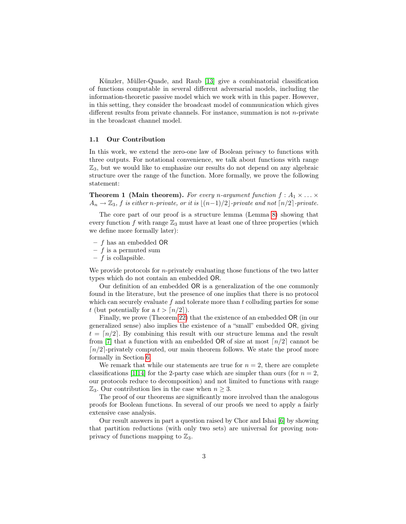Künzler, Müller-Quade, and Raub [\[13\]](#page-13-11) give a combinatorial classification of functions computable in several different adversarial models, including the information-theoretic passive model which we work with in this paper. However, in this setting, they consider the broadcast model of communication which gives different results from private channels. For instance, summation is not  $n$ -private in the broadcast channel model.

#### 1.1 Our Contribution

In this work, we extend the zero-one law of Boolean privacy to functions with three outputs. For notational convenience, we talk about functions with range  $\mathbb{Z}_3$ , but we would like to emphasize our results do not depend on any algebraic structure over the range of the function. More formally, we prove the following statement:

<span id="page-2-0"></span>**Theorem 1 (Main theorem).** For every n-argument function  $f : A_1 \times ... \times$  $A_n \to \mathbb{Z}_3$ , f is either n-private, or it is  $\lfloor (n-1)/2 \rfloor$ -private and not  $\lfloor n/2 \rfloor$ -private.

The core part of our proof is a structure lemma (Lemma [8\)](#page-6-0) showing that every function f with range  $\mathbb{Z}_3$  must have at least one of three properties (which we define more formally later):

- $f$  has an embedded OR
- $f$  is a permuted sum
- $f$  is collapsible.

We provide protocols for *n*-privately evaluating those functions of the two latter types which do not contain an embedded OR.

Our definition of an embedded OR is a generalization of the one commonly found in the literature, but the presence of one implies that there is no protocol which can securely evaluate  $f$  and tolerate more than  $t$  colluding parties for some t (but potentially for a  $t > \lceil n/2 \rceil$ ).

Finally, we prove (Theorem [22\)](#page-12-0) that the existence of an embedded OR (in our generalized sense) also implies the existence of a "small" embedded OR, giving  $t = \lfloor n/2 \rfloor$ . By combining this result with our structure lemma and the result from [\[7\]](#page-13-0) that a function with an embedded OR of size at most  $\lfloor n/2 \rfloor$  cannot be  $\lceil n/2 \rceil$ -privately computed, our main theorem follows. We state the proof more formally in Section [6.](#page-12-1)

We remark that while our statements are true for  $n = 2$ , there are complete classifications [\[1](#page-13-9)[,14\]](#page-13-10) for the 2-party case which are simpler than ours (for  $n = 2$ , our protocols reduce to decomposition) and not limited to functions with range  $\mathbb{Z}_3$ . Our contribution lies in the case when  $n \geq 3$ .

The proof of our theorems are significantly more involved than the analogous proofs for Boolean functions. In several of our proofs we need to apply a fairly extensive case analysis.

Our result answers in part a question raised by Chor and Ishai [\[6\]](#page-13-6) by showing that partition reductions (with only two sets) are universal for proving nonprivacy of functions mapping to  $\mathbb{Z}_3$ .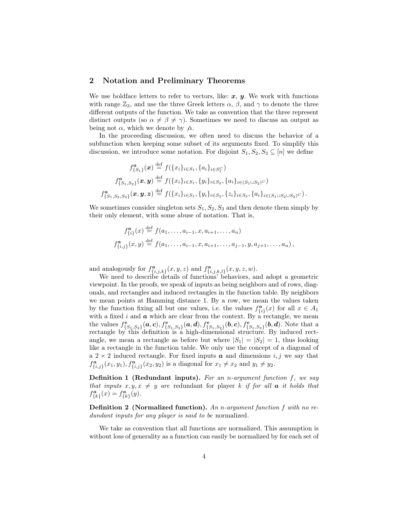### 2 Notation and Preliminary Theorems

We use boldface letters to refer to vectors, like:  $x, y$ . We work with functions with range  $\mathbb{Z}_3$ , and use the three Greek letters  $\alpha$ ,  $\beta$ , and  $\gamma$  to denote the three different outputs of the function. We take as convention that the three represent distinct outputs (so  $\alpha \neq \beta \neq \gamma$ ). Sometimes we need to discuss an output as being not  $\alpha$ , which we denote by  $\alpha$ .

In the proceeding discussion, we often need to discuss the behavior of a subfunction when keeping some subset of its arguments fixed. To simplify this discussion, we introduce some notation. For disjoint  $S_1, S_2, S_3 \subseteq [n]$  we define

$$
f_{\{S_1\}}^{\mathbf{a}}(\mathbf{x}) \stackrel{\text{def}}{=} f(\{x_i\}_{i \in S_1}, \{a_i\}_{i \in S_1^C})
$$
  

$$
f_{\{S_1, S_2\}}^{\mathbf{a}}(\mathbf{x}, \mathbf{y}) \stackrel{\text{def}}{=} f(\{x_i\}_{i \in S_1}, \{y_i\}_{i \in S_2}, \{a_i\}_{i \in (S_1 \cup S_2)^C})
$$
  

$$
f_{\{S_1, S_2, S_3\}}^{\mathbf{a}}(\mathbf{x}, \mathbf{y}, \mathbf{z}) \stackrel{\text{def}}{=} f(\{x_i\}_{i \in S_1}, \{y_i\}_{i \in S_2}, \{z_i\}_{i \in S_3}, \{a_i\}_{i \in (S_1 \cup S_2 \cup S_3)^C}).
$$

We sometimes consider singleton sets  $S_1, S_2, S_3$  and then denote them simply by their only element, with some abuse of notation. That is,

$$
f_{\{i\}}^{\mathbf{a}}(x) \stackrel{\text{def}}{=} f(a_1, \dots, a_{i-1}, x, a_{i+1}, \dots, a_n)
$$
  

$$
f_{\{i,j\}}^{\mathbf{a}}(x, y) \stackrel{\text{def}}{=} f(a_1, \dots, a_{i-1}, x, a_{i+1}, \dots, a_{j-1}, y, a_{j+1}, \dots, a_n),
$$

and analogously for  $f_{\{i,j,k\}}^{\boldsymbol{a}}(x,y,z)$  and  $f_{\{i,j,k,l\}}^{\boldsymbol{a}}(x,y,z,w)$ .

We need to describe details of functions' behaviors, and adopt a geometric viewpoint. In the proofs, we speak of inputs as being neighbors and of rows, diagonals, and rectangles and induced rectangles in the function table. By neighbors we mean points at Hamming distance 1. By a row, we mean the values taken by the function fixing all but one values, i.e. the values  $f_{\{i\}}^{\mathbf{a}}(x)$  for all  $x \in A_1$ with a fixed  $i$  and  $\boldsymbol{a}$  which are clear from the context. By a rectangle, we mean the values  $f_{\{S_1,S_2\}}^e(a, c), f_{\{S_1,S_2\}}^e(a, d), f_{\{S_1,S_2\}}^e(b, c), f_{\{S_1,S_2\}}^e(b, d)$ . Note that a rectangle by this definition is a high-dimensional structure. By induced rectangle, we mean a rectangle as before but where  $|S_1| = |S_2| = 1$ , thus looking like a rectangle in the function table. We only use the concept of a diagonal of a  $2 \times 2$  induced rectangle. For fixed inputs **a** and dimensions i, j we say that  $f_{\{i,j\}}^{\mathbf{a}}(x_1, y_1), f_{\{i,j\}}^{\mathbf{a}}(x_2, y_2)$  is a diagonal for  $x_1 \neq x_2$  and  $y_1 \neq y_2$ .

**Definition 1 (Redundant inputs).** For an n-argument function  $f$ , we say that inputs  $x, y, x \neq y$  are redundant for player k if for all **a** it holds that  $f_{\{k\}}^{\mathbf{a}}(x) = f_{\{k\}}^{\mathbf{a}}(y).$ 

Definition 2 (Normalized function). An n-argument function f with no redundant inputs for any player is said to be normalized.

We take as convention that all functions are normalized. This assumption is without loss of generality as a function can easily be normalized by for each set of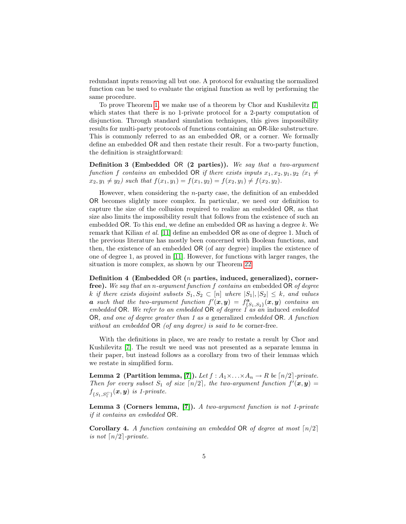redundant inputs removing all but one. A protocol for evaluating the normalized function can be used to evaluate the original function as well by performing the same procedure.

To prove Theorem [1,](#page-2-0) we make use of a theorem by Chor and Kushilevitz [\[7\]](#page-13-0) which states that there is no 1-private protocol for a 2-party computation of disjunction. Through standard simulation techniques, this gives impossibility results for multi-party protocols of functions containing an OR-like substructure. This is commonly referred to as an embedded OR, or a corner. We formally define an embedded OR and then restate their result. For a two-party function, the definition is straightforward:

Definition 3 (Embedded OR (2 parties)). We say that a two-argument function f contains an embedded OR if there exists inputs  $x_1, x_2, y_1, y_2$  ( $x_1 \neq$  $x_2, y_1 \neq y_2$  such that  $f(x_1, y_1) = f(x_1, y_2) = f(x_2, y_1) \neq f(x_2, y_2)$ .

However, when considering the  $n$ -party case, the definition of an embedded OR becomes slightly more complex. In particular, we need our definition to capture the size of the collusion required to realize an embedded OR, as that size also limits the impossibility result that follows from the existence of such an embedded OR. To this end, we define an embedded OR as having a degree  $k$ . We remark that Kilian et al. [\[11\]](#page-13-12) define an embedded OR as one of degree 1. Much of the previous literature has mostly been concerned with Boolean functions, and then, the existence of an embedded OR (of any degree) implies the existence of one of degree 1, as proved in [\[11\]](#page-13-12). However, for functions with larger ranges, the situation is more complex, as shown by our Theorem [22.](#page-12-0)

Definition 4 (Embedded OR (n parties, induced, generalized), cornerfree). We say that an n-argument function f contains an embedded OR of degree k if there exists disjoint subsets  $S_1, S_2 \subset [n]$  where  $|S_1|, |S_2| \leq k$ , and values **a** such that the two-argument function  $f'(\bm{x}, \bm{y}) = f^{\bm{a}}_{\{S_1, S_2\}}(\bm{x}, \bm{y})$  contains an embedded OR. We refer to an embedded OR of degree  $\hat{I}$  as an induced embedded OR, and one of degree greater than 1 as a generalized embedded OR. A function without an embedded OR (of any degree) is said to be corner-free.

With the definitions in place, we are ready to restate a result by Chor and Kushilevitz [\[7\]](#page-13-0). The result we need was not presented as a separate lemma in their paper, but instead follows as a corollary from two of their lemmas which we restate in simplified form.

**Lemma 2 (Partition lemma, [\[7\]](#page-13-0)).** Let  $f : A_1 \times \ldots \times A_n \to R$  be  $\lceil n/2 \rceil$ -private. Then for every subset  $S_1$  of size  $\lceil n/2 \rceil$ , the two-argument function  $f'(\mathbf{x}, \mathbf{y}) =$  $f_{\{S_1, S_1^C\}}(\boldsymbol x, \boldsymbol y)$  is 1-private.

Lemma 3 (Corners lemma, [\[7\]](#page-13-0)). A two-argument function is not 1-private if it contains an embedded OR.

<span id="page-4-0"></span>**Corollary 4.** A function containing an embedded OR of degree at most  $\lceil n/2 \rceil$ is not  $\lceil n/2 \rceil$ -private.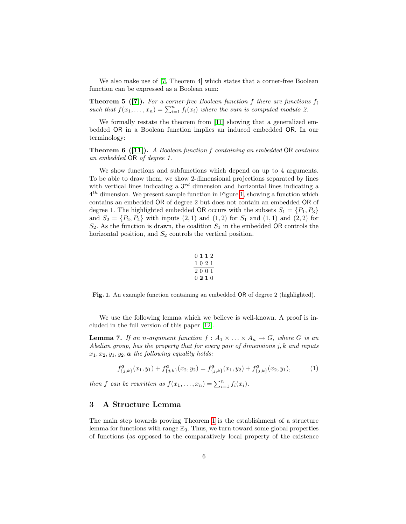<span id="page-5-4"></span>We also make use of [\[7,](#page-13-0) Theorem 4] which states that a corner-free Boolean function can be expressed as a Boolean sum:

**Theorem 5 ([\[7\]](#page-13-0)).** For a corner-free Boolean function f there are functions  $f_i$ such that  $f(x_1, \ldots, x_n) = \sum_{i=1}^n f_i(x_i)$  where the sum is computed modulo 2.

<span id="page-5-3"></span>We formally restate the theorem from [\[11\]](#page-13-12) showing that a generalized embedded OR in a Boolean function implies an induced embedded OR. In our terminology:

Theorem 6 ([\[11\]](#page-13-12)). A Boolean function f containing an embedded OR contains an embedded OR of degree 1.

We show functions and subfunctions which depend on up to 4 arguments. To be able to draw them, we show 2-dimensional projections separated by lines with vertical lines indicating a  $3^{rd}$  dimension and horizontal lines indicating a  $4<sup>th</sup>$  dimension. We present sample function in Figure [1,](#page-5-0) showing a function which contains an embedded OR of degree 2 but does not contain an embedded OR of degree 1. The highlighted embedded OR occurs with the subsets  $S_1 = \{P_1, P_3\}$ and  $S_2 = \{P_2, P_4\}$  with inputs  $(2, 1)$  and  $(1, 2)$  for  $S_1$  and  $(1, 1)$  and  $(2, 2)$  for  $S_2$ . As the function is drawn, the coalition  $S_1$  in the embedded OR controls the horizontal position, and  $S_2$  controls the vertical position.

<span id="page-5-2"></span><span id="page-5-1"></span>
$$
\begin{array}{c|c}\n0 & 1 & 1 & 2 \\
1 & 0 & 2 & 1 \\
\hline\n2 & 0 & 0 & 1 \\
0 & 2 & 1 & 0\n\end{array}
$$

<span id="page-5-0"></span>Fig. 1. An example function containing an embedded OR of degree 2 (highlighted).

We use the following lemma which we believe is well-known. A proof is included in the full version of this paper [\[12\]](#page-13-13).

**Lemma 7.** If an n-argument function  $f : A_1 \times ... \times A_n \to G$ , where G is an Abelian group, has the property that for every pair of dimensions  $j, k$  and inputs  $x_1, x_2, y_1, y_2, \mathbf{a}$  the following equality holds:

$$
f_{\{j,k\}}^a(x_1, y_1) + f_{\{j,k\}}^a(x_2, y_2) = f_{\{j,k\}}^a(x_1, y_2) + f_{\{j,k\}}^a(x_2, y_1),
$$
 (1)

then f can be rewritten as  $f(x_1,...,x_n) = \sum_{i=1}^n f_i(x_i)$ .

# 3 A Structure Lemma

The main step towards proving Theorem [1](#page-2-0) is the establishment of a structure lemma for functions with range  $\mathbb{Z}_3$ . Thus, we turn toward some global properties of functions (as opposed to the comparatively local property of the existence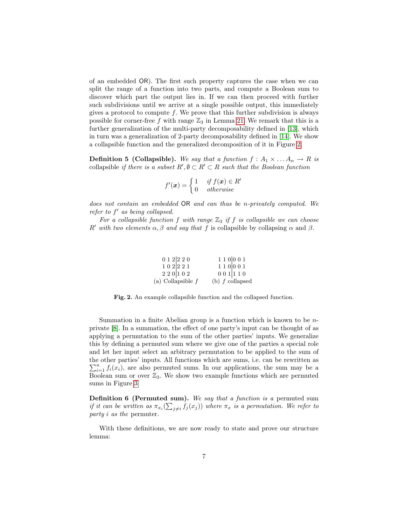of an embedded OR). The first such property captures the case when we can split the range of a function into two parts, and compute a Boolean sum to discover which part the output lies in. If we can then proceed with further such subdivisions until we arrive at a single possible output, this immediately gives a protocol to compute  $f$ . We prove that this further subdivision is always possible for corner-free f with range  $\mathbb{Z}_3$  in Lemma [21.](#page-12-2) We remark that this is a further generalization of the multi-party decomposability defined in [\[13\]](#page-13-11), which in turn was a generalization of 2-party decomposability defined in [\[14\]](#page-13-10). We show a collapsible function and the generalized decomposition of it in Figure [2.](#page-6-1)

**Definition 5 (Collapsible).** We say that a function  $f : A_1 \times ... A_n \rightarrow R$  is collapsible if there is a subset  $R', \emptyset \subset R' \subset R$  such that the Boolean function

$$
f'(\boldsymbol{x}) = \begin{cases} 1 & \textit{if } f(\boldsymbol{x}) \in R' \\ 0 & \textit{otherwise} \end{cases}
$$

does not contain an embedded OR and can thus be n-privately computed. We refer to  $f'$  as being collapsed.

For a collapsible function f with range  $\mathbb{Z}_3$  if f is collapsible we can choose R' with two elements  $\alpha$ ,  $\beta$  and say that f is collapsible by collapsing  $\alpha$  and  $\beta$ .

| 0 1 2   2 2 0       | 1 1 0 0 0 1       |
|---------------------|-------------------|
| 1 0 2 2 1           | 1 1 0 0 0 1       |
| 220 102             | 001110            |
| (a) Collapsible $f$ | (b) $f$ collapsed |

<span id="page-6-1"></span>Fig. 2. An example collapsible function and the collapsed function.

Summation in a finite Abelian group is a function which is known to be nprivate [\[8\]](#page-13-14). In a summation, the effect of one party's input can be thought of as applying a permutation to the sum of the other parties' inputs. We generalize this by defining a permuted sum where we give one of the parties a special role and let her input select an arbitrary permutation to be applied to the sum of the other parties' inputs. All functions which are sums, i.e. can be rewritten as  $\sum_{i=1}^{n} f_i(x_i)$ , are also permuted sums. In our applications, the sum may be a Boolean sum or over  $\mathbb{Z}_3$ . We show two example functions which are permuted sums in Figure [3](#page-7-0)

Definition 6 (Permuted sum). We say that a function is a permuted sum if it can be written as  $\pi_{x_i}(\sum_{j\neq i}f_j(x_j))$  where  $\pi_x$  is a permutation. We refer to party i as the permuter.

<span id="page-6-0"></span>With these definitions, we are now ready to state and prove our structure lemma: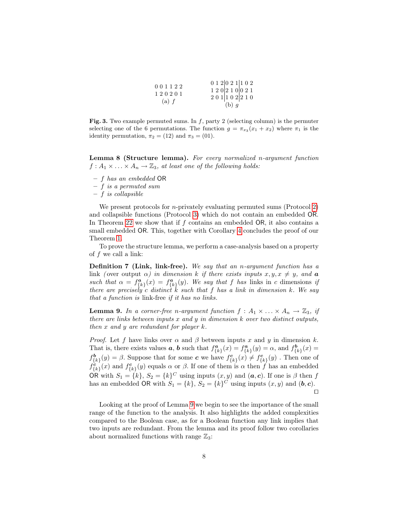| 001122  | 012 021 102                 |
|---------|-----------------------------|
|         | $1\ 2\ 0\ 2\ 1\ 0\ 0\ 2\ 1$ |
| 120201  | 201 102 210                 |
| $(a)$ f | (b) g                       |

<span id="page-7-0"></span>Fig. 3. Two example permuted sums. In  $f$ , party 2 (selecting column) is the permuter selecting one of the 6 permutations. The function  $g = \pi_{x_3}(x_1 + x_2)$  where  $\pi_1$  is the identity permutation,  $\pi_2 = (12)$  and  $\pi_3 = (01)$ .

Lemma 8 (Structure lemma). For every normalized n-argument function  $f: A_1 \times \ldots \times A_n \to \mathbb{Z}_3$ , at least one of the following holds:

– f has an embedded OR

– f is a permuted sum

 $- f$  is collapsible

We present protocols for *n*-privately evaluating permuted sums (Protocol [2\)](#page-11-1) and collapsible functions (Protocol [3\)](#page-11-0) which do not contain an embedded OR. In Theorem [22](#page-12-0) we show that if f contains an embedded OR, it also contains a small embedded OR. This, together with Corollary [4](#page-4-0) concludes the proof of our Theorem [1.](#page-2-0)

To prove the structure lemma, we perform a case-analysis based on a property of  $f$  we call a link:

Definition 7 (Link, link-free). We say that an n-argument function has a link (over output  $\alpha$ ) in dimension k if there exists inputs  $x, y, x \neq y$ , and **a** such that  $\alpha = f_{\{k\}}^a(x) = f_{\{k\}}^a(y)$ . We say that f has links in c dimensions if there are precisely c distinct k such that f has a link in dimension k. We say that a function is link-free if it has no links.

<span id="page-7-1"></span>**Lemma 9.** In a corner-free n-argument function  $f : A_1 \times ... \times A_n \to \mathbb{Z}_3$ , if there are links between inputs  $x$  and  $y$  in dimension  $k$  over two distinct outputs, then x and y are redundant for player  $k$ .

*Proof.* Let f have links over  $\alpha$  and  $\beta$  between inputs x and y in dimension k. That is, there exists values **a**, **b** such that  $f_{\{k\}}^a(x) = f_{\{k\}}^a(y) = \alpha$ , and  $f_{\{k\}}^b(x) =$  $f_{\{k\}}^{\mathbf{b}}(y) = \beta$ . Suppose that for some  $\mathbf{c}$  we have  $f_{\{k\}}^{\mathbf{c}}(x) \neq f_{\{k\}}^{\mathbf{c}}(y)$ . Then one of  $f_{\{k\}}^{\mathbf{c}}(x)$  and  $f_{\{k\}}^{\mathbf{c}}(y)$  equals  $\alpha$  or  $\beta$ . If one of them is  $\alpha$  then f has an embedded OR with  $S_1 = \{k\}, S_2 = \{k\}^C$  using inputs  $(x, y)$  and  $(a, c)$ . If one is  $\beta$  then f has an embedded OR with  $S_1 = \{k\}, S_2 = \{k\}^C$  using inputs  $(x, y)$  and  $(b, c)$ .  $\Box$ 

<span id="page-7-2"></span>Looking at the proof of Lemma [9](#page-7-1) we begin to see the importance of the small range of the function to the analysis. It also highlights the added complexities compared to the Boolean case, as for a Boolean function any link implies that two inputs are redundant. From the lemma and its proof follow two corollaries about normalized functions with range  $\mathbb{Z}_3$ :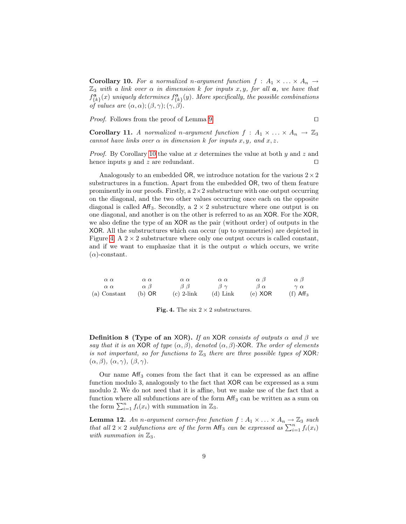**Corollary 10.** For a normalized n-argument function  $f : A_1 \times ... \times A_n \rightarrow$  $\mathbb{Z}_3$  with a link over  $\alpha$  in dimension k for inputs x, y, for all  $\alpha$ , we have that  $f_{\{k\}}^{\mathbf{a}}(x)$  uniquely determines  $f_{\{k\}}^{\mathbf{a}}(y)$ . More specifically, the possible combinations of values are  $(\alpha, \alpha)$ ;  $(\beta, \gamma)$ ;  $(\gamma, \beta)$ .

*Proof.* Follows from the proof of Lemma [9.](#page-7-1)  $\Box$ 

Corollary 11. A normalized n-argument function  $f : A_1 \times ... \times A_n \rightarrow \mathbb{Z}_3$ cannot have links over  $\alpha$  in dimension k for inputs x, y, and x, z.

*Proof.* By Corollary [10](#page-7-2) the value at x determines the value at both  $y$  and  $z$  and hence inputs y and z are redundant.  $\square$ 

Analogously to an embedded OR, we introduce notation for the various  $2 \times 2$ substructures in a function. Apart from the embedded OR, two of them feature prominently in our proofs. Firstly, a  $2 \times 2$  substructure with one output occurring on the diagonal, and the two other values occurring once each on the opposite diagonal is called Aff<sub>3</sub>. Secondly, a  $2 \times 2$  substructure where one output is on one diagonal, and another is on the other is referred to as an XOR. For the XOR, we also define the type of an XOR as the pair (without order) of outputs in the XOR. All the substructures which can occur (up to symmetries) are depicted in Figure [4.](#page-8-0) A  $2 \times 2$  substructure where only one output occurs is called constant, and if we want to emphasize that it is the output  $\alpha$  which occurs, we write  $(\alpha)$ -constant.

| $\alpha \alpha$ | $\alpha \alpha$  | $\alpha \alpha$ | $\alpha \alpha$ | $\alpha$ $\beta$ | $\alpha$ $\beta$       |
|-----------------|------------------|-----------------|-----------------|------------------|------------------------|
| $\alpha \alpha$ | $\alpha$ $\beta$ | $\beta$ $\beta$ | $\beta \gamma$  | $\beta \alpha$   | $\gamma \alpha$        |
| (a) Constant    | $(b)$ OR         | $(c)$ 2-link    | $(d)$ Link      | $(e)$ XOR        | $(f)$ Aff <sub>3</sub> |

<span id="page-8-0"></span>

|  |  |  |  |  |  | Fig. 4. The six $2 \times 2$ substructures. |
|--|--|--|--|--|--|---------------------------------------------|
|--|--|--|--|--|--|---------------------------------------------|

Definition 8 (Type of an XOR). If an XOR consists of outputs  $\alpha$  and  $\beta$  we say that it is an XOR of type  $(\alpha, \beta)$ , denoted  $(\alpha, \beta)$ -XOR. The order of elements is not important, so for functions to  $\mathbb{Z}_3$  there are three possible types of XOR:  $(\alpha, \beta), (\alpha, \gamma), (\beta, \gamma).$ 

Our name  $Aff<sub>3</sub>$  comes from the fact that it can be expressed as an affine function modulo 3, analogously to the fact that XOR can be expressed as a sum modulo 2. We do not need that it is affine, but we make use of the fact that a function where all subfunctions are of the form  $\mathsf{Aff}_3$  can be written as a sum on the form  $\sum_{i=1}^{n} f_i(x_i)$  with summation in  $\mathbb{Z}_3$ .

<span id="page-8-1"></span>**Lemma 12.** An n-argument corner-free function  $f : A_1 \times ... \times A_n \rightarrow \mathbb{Z}_3$  such that all  $2 \times 2$  subfunctions are of the form Aff<sub>3</sub> can be expressed as  $\sum_{i=1}^{n} f_i(x_i)$ with summation in  $\mathbb{Z}_3$ .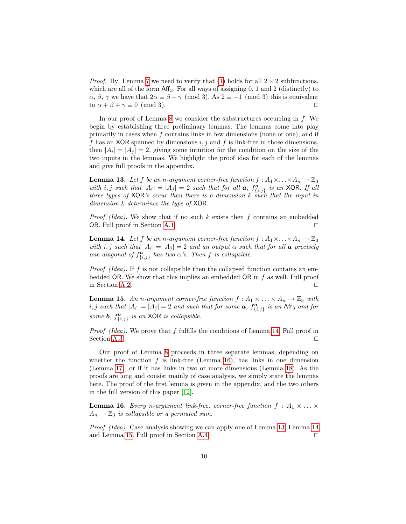*Proof.* By Lemma [7](#page-5-1) we need to verify that [\(1\)](#page-5-2) holds for all  $2 \times 2$  subfunctions, which are all of the form  $\mathsf{Aff}_3$ . For all ways of assigning 0, 1 and 2 (distinctly) to  $\alpha$ ,  $\beta$ ,  $\gamma$  we have that  $2\alpha \equiv \beta + \gamma \pmod{3}$ . As  $2 \equiv -1 \pmod{3}$  this is equivalent to  $\alpha + \beta + \gamma \equiv 0 \pmod{3}$ .

In our proof of Lemma [8](#page-6-0) we consider the substructures occurring in  $f$ . We begin by establishing three preliminary lemmas. The lemmas come into play primarily in cases when  $f$  contains links in few dimensions (none or one), and if f has an XOR spanned by dimensions  $i, j$  and f is link-free in those dimensions, then  $|A_i| = |A_j| = 2$ , giving some intuition for the condition on the size of the two inputs in the lemmas. We highlight the proof idea for each of the lemmas and give full proofs in the appendix.

<span id="page-9-3"></span>**Lemma 13.** Let f be an n-argument corner-free function  $f : A_1 \times ... \times A_n \to \mathbb{Z}_3$ with i, j such that  $|A_i| = |A_j| = 2$  such that for all **a**,  $f_{\{i,j\}}^{\mathbf{a}}$  is an XOR. If all three types of  $XOR$ 's occur then there is a dimension k such that the input in dimension k determines the type of XOR.

*Proof (Idea).* We show that if no such  $k$  exists then  $f$  contains an embedded OR. Full proof in Section [A.1.](#page-14-0)  $\Box$ 

<span id="page-9-0"></span>**Lemma 14.** Let f be an n-argument corner-free function  $f : A_1 \times \ldots \times A_n \to \mathbb{Z}_3$ with i, j such that  $|A_i| = |A_j| = 2$  and an output  $\alpha$  such that for all **a** precisely one diagonal of  $f_{\{i,j\}}^{\mathbf{a}}$  has two  $\alpha$ 's. Then f is collapsible.

*Proof (Idea)*. If f is not collapsible then the collapsed function contains an embedded OR. We show that this implies an embedded OR in  $f$  as well. Full proof in Section [A.2.](#page-15-0)  $\Box$ 

<span id="page-9-4"></span>**Lemma 15.** An n-argument corner-free function  $f : A_1 \times ... \times A_n \rightarrow \mathbb{Z}_3$  with *i*, *j* such that  $|A_i| = |A_j| = 2$  and such that for some **a**,  $f_{\{i,j\}}^{\mathbf{a}}$  is an Aff<sub>3</sub> and for some **b**,  $f_{\{i,j\}}^{\mathbf{b}}$  is an XOR is collapsible.

Proof (Idea). We prove that f fulfills the conditions of Lemma [14.](#page-9-0) Full proof in Section [A.3.](#page-16-0)  $\Box$ 

Our proof of Lemma [8](#page-6-0) proceeds in three separate lemmas, depending on whether the function  $f$  is link-free (Lemma [16\)](#page-9-1), has links in one dimension (Lemma [17\)](#page-9-2), or if it has links in two or more dimensions (Lemma [18\)](#page-10-0). As the proofs are long and consist mainly of case analysis, we simply state the lemmas here. The proof of the first lemma is given in the appendix, and the two others in the full version of this paper [\[12\]](#page-13-13).

<span id="page-9-1"></span>**Lemma 16.** Every n-argument link-free, corner-free function  $f : A_1 \times ... \times$  $A_n \to \mathbb{Z}_3$  is collapsible or a permuted sum.

<span id="page-9-2"></span>Proof (Idea). Case analysis showing we can apply one of Lemma [13,](#page-9-3) Lemma [14](#page-9-0) and Lemma [15.](#page-9-4) Full proof in Section  $A.4$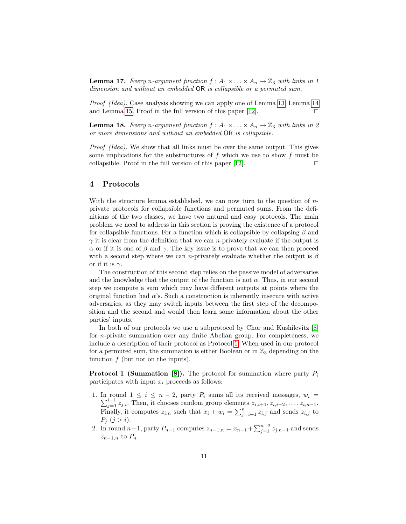**Lemma 17.** Every n-argument function  $f : A_1 \times \ldots \times A_n \to \mathbb{Z}_3$  with links in 1 dimension and without an embedded OR is collapsible or a permuted sum.

Proof (Idea). Case analysis showing we can apply one of Lemma [13,](#page-9-3) Lemma [14](#page-9-0) and Lemma [15.](#page-9-4) Proof in the full version of this paper [\[12\]](#page-13-13).  $\Box$ 

<span id="page-10-0"></span>**Lemma 18.** Every n-argument function  $f : A_1 \times ... \times A_n \rightarrow \mathbb{Z}_3$  with links in 2 or more dimensions and without an embedded OR is collapsible.

Proof (Idea). We show that all links must be over the same output. This gives some implications for the substructures of  $f$  which we use to show  $f$  must be collapsible. Proof in the full version of this paper [\[12\]](#page-13-13).  $\Box$ 

# 4 Protocols

With the structure lemma established, we can now turn to the question of  $n$ private protocols for collapsible functions and permuted sums. From the definitions of the two classes, we have two natural and easy protocols. The main problem we need to address in this section is proving the existence of a protocol for collapsible functions. For a function which is collapsible by collapsing  $\beta$  and  $\gamma$  it is clear from the definition that we can *n*-privately evaluate if the output is  $\alpha$  or if it is one of  $\beta$  and  $\gamma$ . The key issue is to prove that we can then proceed with a second step where we can n-privately evaluate whether the output is  $\beta$ or if it is  $\gamma$ .

The construction of this second step relies on the passive model of adversaries and the knowledge that the output of the function is not  $\alpha$ . Thus, in our second step we compute a sum which may have different outputs at points where the original function had  $\alpha$ 's. Such a construction is inherently insecure with active adversaries, as they may switch inputs between the first step of the decomposition and the second and would then learn some information about the other parties' inputs.

In both of our protocols we use a subprotocol by Chor and Kushilevitz [\[8\]](#page-13-14) for n-private summation over any finite Abelian group. For completeness, we include a description of their protocol as Protocol [1.](#page-10-1) When used in our protocol for a permuted sum, the summation is either Boolean or in  $\mathbb{Z}_3$  depending on the function  $f$  (but not on the inputs).

<span id="page-10-1"></span>**Protocol 1 (Summation [\[8\]](#page-13-14)).** The protocol for summation where party  $P_i$ participates with input  $x_i$  proceeds as follows:

- 1. In round  $1 \leq i \leq n-2$ , party  $P_i$  sums all its received messages,  $w_i =$  $\sum_{j=1}^{i-1} z_{j,i}$ . Then, it chooses random group elements  $z_{i,i+1}, z_{i,i+2}, \ldots, z_{i,n-1}$ . Finally, it computes  $z_{i,n}$  such that  $x_i + w_i = \sum_{j=i+1}^n z_{i,j}$  and sends  $z_{i,j}$  to  $P_j$   $(j > i)$ .
- 2. In round  $n-1$ , party  $P_{n-1}$  computes  $z_{n-1,n} = x_{n-1} + \sum_{j=1}^{n-2} z_{j,n-1}$  and sends  $z_{n-1,n}$  to  $P_n$ .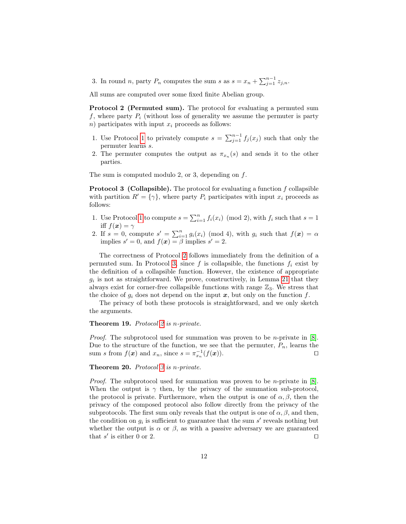3. In round *n*, party  $P_n$  computes the sum *s* as  $s = x_n + \sum_{j=1}^{n-1} z_{j,n}$ .

All sums are computed over some fixed finite Abelian group.

<span id="page-11-1"></span>Protocol 2 (Permuted sum). The protocol for evaluating a permuted sum f, where party  $P_i$  (without loss of generality we assume the permuter is party n) participates with input  $x_i$  proceeds as follows:

- 1. Use Protocol [1](#page-10-1) to privately compute  $s = \sum_{j=1}^{n-1} f_j(x_j)$  such that only the permuter learns s.
- 2. The permuter computes the output as  $\pi_{x_n}(s)$  and sends it to the other parties.

The sum is computed modulo 2, or 3, depending on  $f$ .

<span id="page-11-0"></span>**Protocol 3 (Collapsible).** The protocol for evaluating a function  $f$  collapsible with partition  $R' = {\gamma}$ , where party  $P_i$  participates with input  $x_i$  proceeds as follows:

- 1. Use Protocol [1](#page-10-1) to compute  $s = \sum_{i=1}^{n} f_i(x_i) \pmod{2}$ , with  $f_i$  such that  $s = 1$ iff  $f(x) = \gamma$
- 2. If  $s = 0$ , compute  $s' = \sum_{i=1}^{n} g_i(x_i) \pmod{4}$ , with  $g_i$  such that  $f(x) = \alpha$ implies  $s' = 0$ , and  $f(x) = \beta$  implies  $s' = 2$ .

The correctness of Protocol [2](#page-11-1) follows immediately from the definition of a permuted sum. In Protocol [3,](#page-11-0) since f is collapsible, the functions  $f_i$  exist by the definition of a collapsible function. However, the existence of appropriate  $g_i$  is not as straightforward. We prove, constructively, in Lemma [21](#page-12-2) that they always exist for corner-free collapsible functions with range  $\mathbb{Z}_3$ . We stress that the choice of  $g_i$  does not depend on the input x, but only on the function f.

The privacy of both these protocols is straightforward, and we only sketch the arguments.

#### Theorem 19. Protocol [2](#page-11-1) is n-private.

Proof. The subprotocol used for summation was proven to be *n*-private in [\[8\]](#page-13-14). Due to the structure of the function, we see that the permuter,  $P_n$ , learns the sum s from  $f(\mathbf{x})$  and  $x_n$ , since  $s = \pi_{x_n}^{-1}(f(\mathbf{x}))$ .

## Theorem 20. Protocol [3](#page-11-0) is n-private.

Proof. The subprotocol used for summation was proven to be *n*-private in [\[8\]](#page-13-14). When the output is  $\gamma$  then, by the privacy of the summation sub-protocol, the protocol is private. Furthermore, when the output is one of  $\alpha, \beta$ , then the privacy of the composed protocol also follow directly from the privacy of the subprotocols. The first sum only reveals that the output is one of  $\alpha, \beta$ , and then, the condition on  $g_i$  is sufficient to guarantee that the sum  $s'$  reveals nothing but whether the output is  $\alpha$  or  $\beta$ , as with a passive adversary we are guaranteed that s' is either 0 or 2.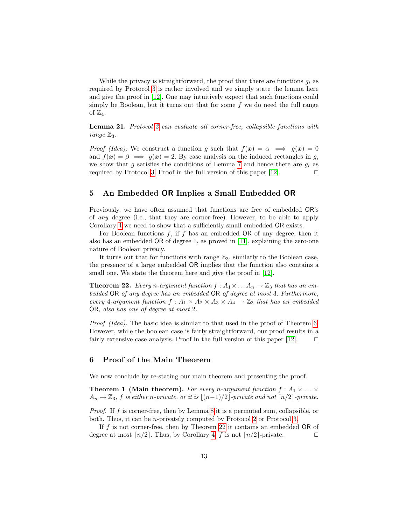While the privacy is straightforward, the proof that there are functions  $q_i$  as required by Protocol [3](#page-11-0) is rather involved and we simply state the lemma here and give the proof in [\[12\]](#page-13-13). One may intuitively expect that such functions could simply be Boolean, but it turns out that for some  $f$  we do need the full range of  $\mathbb{Z}_4$ .

<span id="page-12-2"></span>Lemma 21. Protocol [3](#page-11-0) can evaluate all corner-free, collapsible functions with range  $\mathbb{Z}_3$ .

*Proof (Idea).* We construct a function g such that  $f(x) = \alpha \implies g(x) = 0$ and  $f(x) = \beta \implies g(x) = 2$ . By case analysis on the induced rectangles in g, we show that g satisfies the conditions of Lemma [7](#page-5-1) and hence there are  $g_i$  as required by Protocol [3.](#page-11-0) Proof in the full version of this paper  $|12|$ .

# 5 An Embedded OR Implies a Small Embedded OR

Previously, we have often assumed that functions are free of embedded OR's of any degree (i.e., that they are corner-free). However, to be able to apply Corollary [4](#page-4-0) we need to show that a sufficiently small embedded OR exists.

For Boolean functions  $f$ , if  $f$  has an embedded OR of any degree, then it also has an embedded OR of degree 1, as proved in [\[11\]](#page-13-12), explaining the zero-one nature of Boolean privacy.

<span id="page-12-0"></span>It turns out that for functions with range  $\mathbb{Z}_3$ , similarly to the Boolean case, the presence of a large embedded OR implies that the function also contains a small one. We state the theorem here and give the proof in [\[12\]](#page-13-13).

**Theorem 22.** Every n-argument function  $f : A_1 \times \ldots \times A_n \to \mathbb{Z}_3$  that has an embedded OR of any degree has an embedded OR of degree at most 3. Furthermore, every 4-argument function  $f: A_1 \times A_2 \times A_3 \times A_4 \rightarrow \mathbb{Z}_3$  that has an embedded OR, also has one of degree at most 2.

Proof (Idea). The basic idea is similar to that used in the proof of Theorem [6.](#page-5-3) However, while the boolean case is fairly straightforward, our proof results in a fairly extensive case analysis. Proof in the full version of this paper [\[12\]](#page-13-13).  $\Box$ 

# <span id="page-12-1"></span>6 Proof of the Main Theorem

We now conclude by re-stating our main theorem and presenting the proof.

**Theorem 1 (Main theorem).** For every n-argument function  $f : A_1 \times ... \times$  $A_n \to \mathbb{Z}_3$ , f is either n-private, or it is  $|(n-1)/2|$ -private and not  $\lceil n/2 \rceil$ -private.

Proof. If f is corner-free, then by Lemma [8](#page-6-0) it is a permuted sum, collapsible, or both. Thus, it can be n-privately computed by Protocol [2](#page-11-1) or Protocol [3.](#page-11-0)

If f is not corner-free, then by Theorem [22](#page-12-0) it contains an embedded OR of degree at most  $\lceil n/2 \rceil$ . Thus, by Corollary [4,](#page-4-0) f is not  $\lceil n/2 \rceil$ -private.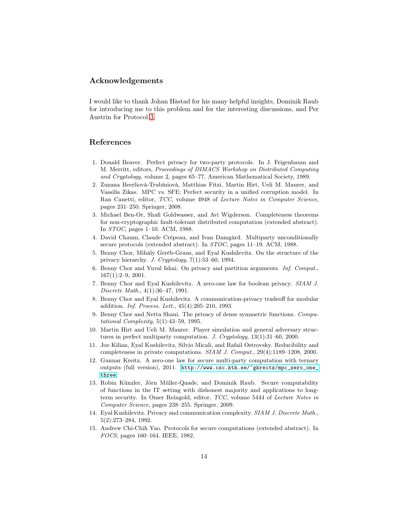# Acknowledgements

I would like to thank Johan Håstad for his many helpful insights, Dominik Raub for introducing me to this problem and for the interesting discussions, and Per Austrin for Protocol [3.](#page-11-0)

# References

- <span id="page-13-9"></span>1. Donald Beaver. Perfect privacy for two-party protocols. In J. Feigenbaum and M. Merritt, editors, Proceedings of DIMACS Workshop on Distributed Computing and Cryptology, volume 2, pages 65–77. American Mathematical Society, 1989.
- <span id="page-13-3"></span>2. Zuzana Beerliová-Trubíniová, Matthias Fitzi, Martin Hirt, Ueli M. Maurer, and Vassilis Zikas. MPC vs. SFE: Perfect security in a unified corruption model. In Ran Canetti, editor, TCC, volume 4948 of Lecture Notes in Computer Science, pages 231–250. Springer, 2008.
- <span id="page-13-4"></span>3. Michael Ben-Or, Shafi Goldwasser, and Avi Wigderson. Completeness theorems for non-cryptographic fault-tolerant distributed computation (extended abstract). In STOC, pages 1–10. ACM, 1988.
- <span id="page-13-5"></span>4. David Chaum, Claude Crépeau, and Ivan Damgård. Multiparty unconditionally secure protocols (extended abstract). In STOC, pages 11–19. ACM, 1988.
- <span id="page-13-7"></span>5. Benny Chor, Mihály Geréb-Graus, and Eyal Kushilevitz. On the structure of the privacy hierarchy. J. Cryptology, 7(1):53–60, 1994.
- <span id="page-13-6"></span>6. Benny Chor and Yuval Ishai. On privacy and partition arguments. Inf. Comput., 167(1):2–9, 2001.
- <span id="page-13-0"></span>7. Benny Chor and Eyal Kushilevitz. A zero-one law for boolean privacy. SIAM J. Discrete Math., 4(1):36–47, 1991.
- <span id="page-13-14"></span>8. Benny Chor and Eyal Kushilevitz. A communication-privacy tradeoff for modular addition. Inf. Process. Lett., 45(4):205–210, 1993.
- <span id="page-13-8"></span>9. Benny Chor and Netta Shani. The privacy of dense symmetric functions. Computational Complexity, 5(1):43–59, 1995.
- <span id="page-13-2"></span>10. Martin Hirt and Ueli M. Maurer. Player simulation and general adversary structures in perfect multiparty computation. J. Cryptology, 13(1):31–60, 2000.
- <span id="page-13-12"></span>11. Joe Kilian, Eyal Kushilevitz, Silvio Micali, and Rafail Ostrovsky. Reducibility and completeness in private computations. SIAM J. Comput., 29(4):1189–1208, 2000.
- <span id="page-13-13"></span>12. Gunnar Kreitz. A zero-one law for secure multi-party computation with ternary outputs (full version), 2011. [http://www.csc.kth.se/~gkreitz/mpc\\_zero\\_one\\_](http://www.csc.kth.se/~gkreitz/mpc_zero_one_three) [three](http://www.csc.kth.se/~gkreitz/mpc_zero_one_three).
- <span id="page-13-11"></span>13. Robin Künzler, Jörn Müller-Quade, and Dominik Raub. Secure computability of functions in the IT setting with dishonest majority and applications to longterm security. In Omer Reingold, editor, TCC, volume 5444 of Lecture Notes in Computer Science, pages 238–255. Springer, 2009.
- <span id="page-13-10"></span>14. Eyal Kushilevitz. Privacy and communication complexity. SIAM J. Discrete Math., 5(2):273–284, 1992.
- <span id="page-13-1"></span>15. Andrew Chi-Chih Yao. Protocols for secure computations (extended abstract). In FOCS, pages 160–164. IEEE, 1982.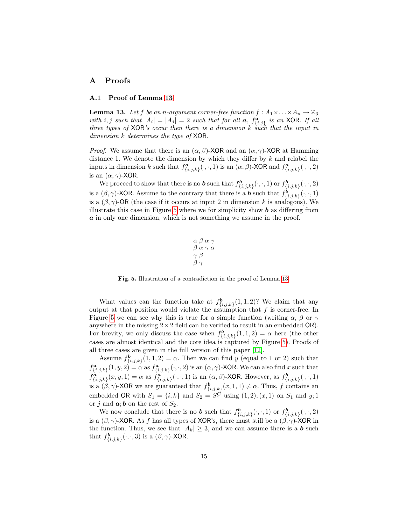# A Proofs

## <span id="page-14-0"></span>A.1 Proof of Lemma [13](#page-9-3)

**Lemma 13.** Let f be an n-argument corner-free function  $f : A_1 \times ... \times A_n \to \mathbb{Z}_3$ with i, j such that  $|A_i| = |A_j| = 2$  such that for all **a**,  $f_{\{i,j\}}^{\mathbf{a}}$  is an XOR. If all three types of  $XOR$ 's occur then there is a dimension k such that the input in dimension k determines the type of XOR.

*Proof.* We assume that there is an  $(\alpha, \beta)$ -XOR and an  $(\alpha, \gamma)$ -XOR at Hamming distance 1. We denote the dimension by which they differ by k and relabel the inputs in dimension k such that  $f_{\{i,j,k\}}^{\mathbf{a}}(\cdot,\cdot,1)$  is an  $(\alpha,\beta)$ -XOR and  $f_{\{i,j,k\}}^{\mathbf{a}}(\cdot,\cdot,2)$ is an  $(\alpha, \gamma)$ -XOR.

We proceed to show that there is no **b** such that  $f_{\{i,j,k\}}^{\mathbf{b}}(\cdot,\cdot,1)$  or  $f_{\{i,j,k\}}^{\mathbf{b}}(\cdot,\cdot,2)$ is a  $(\beta, \gamma)$ -XOR. Assume to the contrary that there is a **b** such that  $f_{\{i,j,k\}}^{\mathbf{b}}(\cdot, \cdot, 1)$ is a  $(\beta, \gamma)$ -OR (the case if it occurs at input 2 in dimension k is analogous). We illustrate this case in Figure [5](#page-14-1) where we for simplicity show  $\boldsymbol{b}$  as differing from a in only one dimension, which is not something we assume in the proof.

$$
\begin{array}{c}\n\alpha \beta \alpha \gamma \\
\beta \alpha \gamma \alpha \\
\gamma \beta \\
\beta \gamma\n\end{array}
$$

<span id="page-14-1"></span>Fig. 5. Illustration of a contradiction in the proof of Lemma [13.](#page-9-3)

What values can the function take at  $f_{\{i,j,k\}}^{\mathbf{b}}(1,1,2)$ ? We claim that any output at that position would violate the assumption that  $f$  is corner-free. In Figure [5](#page-14-1) we can see why this is true for a simple function (writing  $\alpha$ ,  $\beta$  or  $\gamma$ anywhere in the missing  $2 \times 2$  field can be verified to result in an embedded OR). For brevity, we only discuss the case when  $f_{\{i,j,k\}}^{\mathbf{b}}(1,1,2) = \alpha$  here (the other cases are almost identical and the core idea is captured by Figure [5\)](#page-14-1). Proofs of all three cases are given in the full version of this paper [\[12\]](#page-13-13).

Assume  $f_{\{i,j,k\}}^{\mathbf{b}}(1,1,2) = \alpha$ . Then we can find y (equal to 1 or 2) such that  $f^{\boldsymbol{a}}_{\{i,j,k\}}(1,y,2) = \alpha$  as  $f^{\boldsymbol{a}}_{\{i,j,k\}}(\cdot,\cdot,2)$  is an  $(\alpha,\gamma)$ -XOR. We can also find x such that  $f^{\boldsymbol{a}}_{\{i,j,k\}}(x,y,1) = \alpha$  as  $f^{\boldsymbol{a}}_{\{i,j,k\}}(\cdot,\cdot,1)$  is an  $(\alpha,\beta)$ -XOR. However, as  $f^{\boldsymbol{b}}_{\{i,j,k\}}(\cdot,\cdot,1)$ is a  $(\beta, \gamma)$ -XOR we are guaranteed that  $f_{\{i,j,k\}}^{\mathbf{b}}(x,1,1) \neq \alpha$ . Thus, f contains an embedded OR with  $S_1 = \{i, k\}$  and  $S_2 = S_1^C$  using  $(1, 2); (x, 1)$  on  $S_1$  and  $y; 1$ or j and  $a$ ; b on the rest of  $S_2$ .

We now conclude that there is no **b** such that  $f_{\{i,j,k\}}^{\mathbf{b}}(\cdot,\cdot,1)$  or  $f_{\{i,j,k\}}^{\mathbf{b}}(\cdot,\cdot,2)$ is a  $(\beta, \gamma)$ -XOR. As f has all types of XOR's, there must still be a  $(\beta, \gamma)$ -XOR in the function. Thus, we see that  $|A_k| \geq 3$ , and we can assume there is a **b** such that  $f_{\{i,j,k\}}^{\mathbf{b}}(\cdot,\cdot,3)$  is a  $(\beta,\gamma)$ -XOR.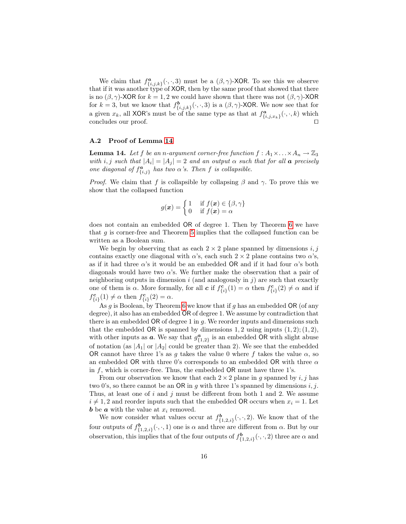We claim that  $f_{\{i,j,k\}}^{\mathfrak{a}}(\cdot,\cdot,3)$  must be a  $(\beta,\gamma)$ -XOR. To see this we observe that if it was another type of XOR, then by the same proof that showed that there is no  $(\beta, \gamma)$ -XOR for  $k = 1, 2$  we could have shown that there was not  $(\beta, \gamma)$ -XOR for  $k = 3$ , but we know that  $f_{\{i,j,k\}}^{\mathbf{b}}(\cdot,\cdot,3)$  is a  $(\beta,\gamma)$ -XOR. We now see that for a given  $x_k$ , all XOR's must be of the same type as that at  $f_{\{i,j,x_k\}}^a(\cdot,\cdot,k)$  which concludes our proof.  $\Box$ 

#### <span id="page-15-0"></span>A.2 Proof of Lemma [14](#page-9-0)

**Lemma 14.** Let f be an n-argument corner-free function  $f : A_1 \times \ldots \times A_n \to \mathbb{Z}_3$ with i, j such that  $|A_i| = |A_j| = 2$  and an output  $\alpha$  such that for all **a** precisely one diagonal of  $f_{\{i,j\}}^{\mathbf{a}}$  has two  $\alpha$ 's. Then f is collapsible.

*Proof.* We claim that f is collapsible by collapsing  $\beta$  and  $\gamma$ . To prove this we show that the collapsed function

$$
g(\boldsymbol{x}) = \begin{cases} 1 & \text{if } f(\boldsymbol{x}) \in \{\beta, \gamma\} \\ 0 & \text{if } f(\boldsymbol{x}) = \alpha \end{cases}
$$

does not contain an embedded OR of degree 1. Then by Theorem [6](#page-5-3) we have that  $g$  is corner-free and Theorem [5](#page-5-4) implies that the collapsed function can be written as a Boolean sum.

We begin by observing that as each  $2 \times 2$  plane spanned by dimensions i, j contains exactly one diagonal with  $\alpha$ 's, each such  $2 \times 2$  plane contains two  $\alpha$ 's, as if it had three  $\alpha$ 's it would be an embedded OR and if it had four  $\alpha$ 's both diagonals would have two  $\alpha$ 's. We further make the observation that a pair of neighboring outputs in dimension  $i$  (and analogously in  $j$ ) are such that exactly one of them is  $\alpha$ . More formally, for all  $\boldsymbol{c}$  if  $f_{\{i\}}^{\boldsymbol{c}}(1) = \alpha$  then  $f_{\{i\}}^{\boldsymbol{c}}(2) \neq \alpha$  and if  $f_{\{i\}}^{\mathbf{c}}(1) \neq \alpha \text{ then } f_{\{i\}}^{\mathbf{c}}(2) = \alpha.$ 

As  $g$  is Boolean, by Theorem [6](#page-5-3) we know that if  $g$  has an embedded OR (of any degree), it also has an embedded OR of degree 1. We assume by contradiction that there is an embedded OR of degree 1 in  $q$ . We reorder inputs and dimensions such that the embedded OR is spanned by dimensions 1, 2 using inputs  $(1, 2)$ ;  $(1, 2)$ , with other inputs as  $a$ . We say that  $g_{\{1,2\}}^a$  is an embedded OR with slight abuse of notation (as  $|A_1|$  or  $|A_2|$  could be greater than 2). We see that the embedded OR cannot have three 1's as q takes the value 0 where f takes the value  $\alpha$ , so an embedded OR with three 0's corresponds to an embedded OR with three  $\alpha$ in  $f$ , which is corner-free. Thus, the embedded  $OR$  must have three 1's.

From our observation we know that each  $2 \times 2$  plane in g spanned by i, j has two 0's, so there cannot be an OR in g with three 1's spanned by dimensions  $i, j$ . Thus, at least one of  $i$  and  $j$  must be different from both 1 and 2. We assume  $i \neq 1, 2$  and reorder inputs such that the embedded OR occurs when  $x_i = 1$ . Let **b** be **a** with the value at  $x_i$  removed.

We now consider what values occur at  $f_{\{1,2,i\}}^{\mathbf{b}}(\cdot,\cdot,2)$ . We know that of the four outputs of  $f_{\{1,2,i\}}^{\mathbf{b}}(\cdot,\cdot,1)$  one is  $\alpha$  and three are different from  $\alpha$ . But by our observation, this implies that of the four outputs of  $f_{\{1,2,i\}}^{\mathbf{b}}(\cdot,\cdot,2)$  three are  $\alpha$  and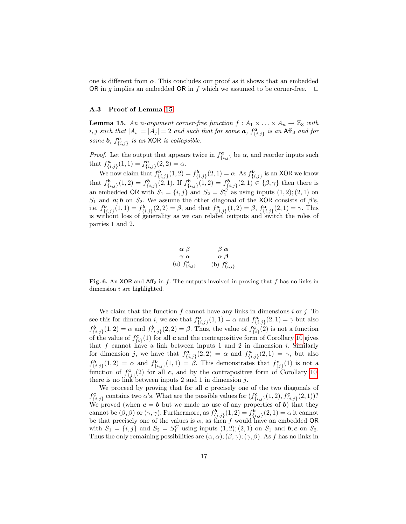one is different from  $\alpha$ . This concludes our proof as it shows that an embedded OR in g implies an embedded OR in f which we assumed to be corner-free.  $\square$ 

#### <span id="page-16-0"></span>A.3 Proof of Lemma [15](#page-9-4)

**Lemma 15.** An n-argument corner-free function  $f : A_1 \times ... \times A_n \rightarrow \mathbb{Z}_3$  with i, j such that  $|A_i| = |A_j| = 2$  and such that for some  $a$ ,  $f_{\{i,j\}}^a$  is an Aff<sub>3</sub> and for some **b**,  $f_{\{i,j\}}^{\mathbf{b}}$  is an XOR is collapsible.

*Proof.* Let the output that appears twice in  $f_{\{i,j\}}^a$  be  $\alpha$ , and reorder inputs such that  $f^{\mathbf{a}}_{\{i,j\}}(1,1) = f^{\mathbf{a}}_{\{i,j\}}(2,2) = \alpha.$  $\{i,j\}$  (1, 1)  $\equiv J_{\{i,j\}}$ 

We now claim that  $f_{\{i,j\}}^{\mathbf{b}}(1,2) = f_{\{i,j\}}^{\mathbf{b}}(2,1) = \alpha$ . As  $f_{\{i,j\}}^{\mathbf{b}}$  is an XOR we know that  $f_{\{i,j\}}^{\mathbf{b}}(1,2) = f_{\{i,j\}}^{\mathbf{b}}(2,1)$ . If  $f_{\{i,j\}}^{\mathbf{b}}(1,2) = f_{\{i,j\}}^{\mathbf{b}}(2,1) \in \{\beta,\gamma\}$  then there is an embedded OR with  $S_1 = \{i, j\}$  and  $S_2 = S_1^C$  as using inputs  $(1, 2); (2, 1)$  on S<sub>1</sub> and  $\alpha$ ; b on S<sub>2</sub>. We assume the other diagonal of the XOR consists of  $\beta$ 's, i.e.  $f_{\{i,j\}}^{\mathbf{b}}(1,1) = f_{\{i,j\}}^{\mathbf{b}}(2,2) = \beta$ , and that  $f_{\{i,j\}}^{\mathbf{a}}(1,2) = \beta$ ,  $f_{\{i,j\}}^{\mathbf{a}}(2,1) = \gamma$ . This is without loss of generality as we can relabel outputs and switch the roles of parties 1 and 2.

$$
\begin{matrix}\n\alpha \ \beta & \beta \ \alpha \\
\gamma \ \alpha & \alpha \ \beta \\
a) \ f_{\{i,j\}}^a & (b) \ f_{\{i,j\}}^b\n\end{matrix}
$$

 $($ 

Fig. 6. An XOR and Aff<sub>3</sub> in f. The outputs involved in proving that f has no links in dimension i are highlighted.

We claim that the function  $f$  cannot have any links in dimensions  $i$  or  $j$ . To see this for dimension *i*, we see that  $f_{\{i,j\}}^{\mathbf{a}}(1,1) = \alpha$  and  $f_{\{i,j\}}^{\mathbf{a}}(2,1) = \gamma$  but also  $f_{\{i,j\}}^{\mathbf{b}}(1,2) = \alpha$  and  $f_{\{i,j\}}^{\mathbf{b}}(2,2) = \beta$ . Thus, the value of  $f_{\{i\}}^{\mathbf{c}}(2)$  is not a function of the value of  $f_{\{i\}}^{\mathbf{c}}(1)$  for all  $\mathbf c$  and the contrapositive form of Corollary [10](#page-7-2) gives that  $f$  cannot have a link between inputs 1 and 2 in dimension  $i$ . Similarly for dimension j, we have that  $f_{\{i,j\}}^a(2,2) = \alpha$  and  $f_{\{i,j\}}^a(2,1) = \gamma$ , but also  $f_{\{i,j\}}^{\mathbf{b}}(1,2) = \alpha$  and  $f_{\{i,j\}}^{\mathbf{b}}(1,1) = \beta$ . This demonstrates that  $f_{\{j\}}^{\mathbf{c}}(1)$  is not a function of  $f_{\{j\}}^c(2)$  for all c, and by the contrapositive form of Corollary [10,](#page-7-2) there is no link between inputs 2 and 1 in dimension  $j$ .

We proceed by proving that for all  $c$  precisely one of the two diagonals of  $f_{\{i,j\}}^{\mathbf{c}}$  contains two  $\alpha$ 's. What are the possible values for  $(f_{\{i,j\}}^{\mathbf{c}}(1,2), f_{\{i,j\}}^{\mathbf{c}}(2,1))$ ? We proved (when  $c = b$  but we made no use of any properties of b) that they cannot be  $(\beta, \beta)$  or  $(\gamma, \gamma)$ . Furthermore, as  $f_{\{i,j\}}^{\mathbf{b}}(1,2) = f_{\{i,j\}}^{\mathbf{b}}(2,1) = \alpha$  it cannot be that precisely one of the values is  $\alpha$ , as then f would have an embedded OR with  $S_1 = \{i, j\}$  and  $S_2 = S_1^C$  using inputs  $(1, 2); (2, 1)$  on  $S_1$  and  $b; c$  on  $S_2$ . Thus the only remaining possibilities are  $(\alpha, \alpha)$ ;  $(\beta, \gamma)$ ;  $(\gamma, \beta)$ . As f has no links in